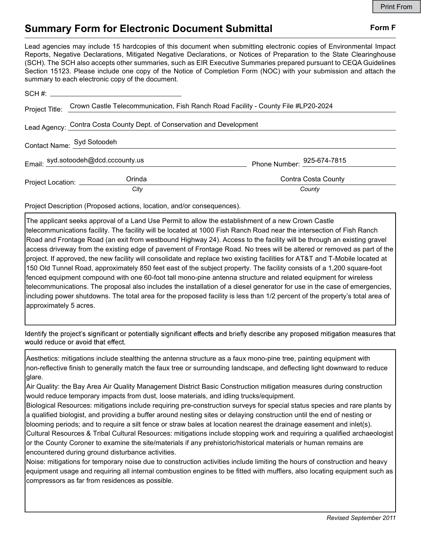## Summary Form for Electronic Document Submittal Form F

Lead agencies may include 15 hardcopies of this document when submitting electronic copies of Environmental Impact Reports, Negative Declarations, Mitigated Negative Declarations, or Notices of Preparation to the State Clearinghouse (SCH). The SCH also accepts other summaries, such as EIR Executive Summaries prepared pursuant to CEQA Guidelines Section 15123. Please include one copy of the Notice of Completion Form (NOC) with your submission and attach the summary to each electronic copy of the document.

|                                                                        | Project Title: Crown Castle Telecommunication, Fish Ranch Road Facility - County File #LP20-2024 |                                     |
|------------------------------------------------------------------------|--------------------------------------------------------------------------------------------------|-------------------------------------|
| Lead Agency: Contra Costa County Dept. of Conservation and Development |                                                                                                  |                                     |
| Contact Name: Syd Sotoodeh                                             |                                                                                                  |                                     |
|                                                                        | Email: syd.sotoodeh@dcd.cccounty.us                                                              | Phone Number: $^{925-674-7815}_{ }$ |
|                                                                        | Orinda<br>Project Location: __________<br>City                                                   | Contra Costa County<br>County       |
|                                                                        |                                                                                                  |                                     |

Project Description (Proposed actions, location, and/or consequences).

The applicant seeks approval of a Land Use Permit to allow the establishment of a new Crown Castle telecommunications facility. The facility will be located at 1000 Fish Ranch Road near the intersection of Fish Ranch Road and Frontage Road (an exit from westbound Highway 24). Access to the facility will be through an existing gravel access driveway from the existing edge of pavement of Frontage Road. No trees will be altered or removed as part of the project. If approved, the new facility will consolidate and replace two existing facilities for AT&T and T-Mobile located at 150 Old Tunnel Road, approximately 850 feet east of the subject property. The facility consists of a 1,200 square-foot fenced equipment compound with one 60-foot tall mono-pine antenna structure and related equipment for wireless telecommunications. The proposal also includes the installation of a diesel generator for use in the case of emergencies, including power shutdowns. The total area for the proposed facility is less than 1/2 percent of the property's total area of approximately 5 acres.

Identify the project's significant or potentially significant effects and briefly describe any proposed mitigation measures that would reduce or avoid that effect.

Aesthetics: mitigations include stealthing the antenna structure as a faux mono-pine tree, painting equipment with non-reflective finish to generally match the faux tree or surrounding landscape, and deflecting light downward to reduce glare.

Air Quality: the Bay Area Air Quality Management District Basic Construction mitigation measures during construction would reduce temporary impacts from dust, loose materials, and idling trucks/equipment.

Biological Resources: mitigations include requiring pre-construction surveys for special status species and rare plants by a qualified biologist, and providing a buffer around nesting sites or delaying construction until the end of nesting or blooming periods; and to require a silt fence or straw bales at location nearest the drainage easement and inlet(s). Cultural Resources & Tribal Cultural Resources: mitigations include stopping work and requiring a qualified archaeologist or the County Coroner to examine the site/materials if any prehistoric/historical materials or human remains are encountered during ground disturbance activities.

Noise: mitigations for temporary noise due to construction activities include limiting the hours of construction and heavy equipment usage and requiring all internal combustion engines to be fitted with mufflers, also locating equipment such as compressors as far from residences as possible.